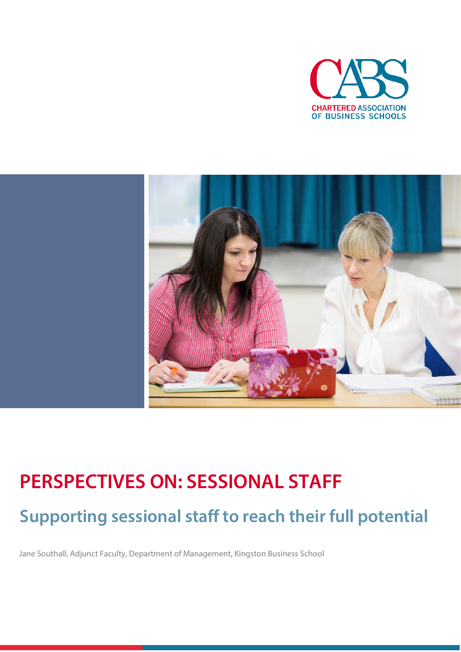



# **PERSPECTIVES ON: SESSIONAL STAFF Supporting sessional staff to reach their full potential**

Jane Southall, Adjunct Faculty, Department of Management, Kingston Business School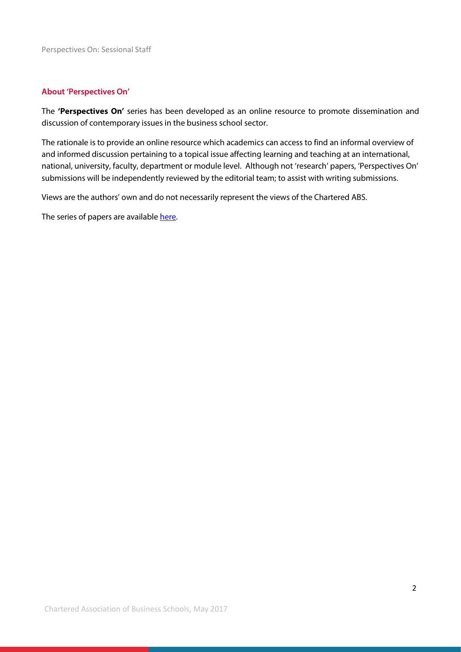## **About 'Perspectives On'**

The **'Perspectives On'** series has been developed as an online resource to promote dissemination and discussion of contemporary issues in the business school sector.

The rationale is to provide an online resource which academics can access to find an informal overview of and informed discussion pertaining to a topical issue affecting learning and teaching at an international, national, university, faculty, department or module level. Although not 'research' papers, 'Perspectives On' submissions will be independently reviewed by the editorial team; to assist with writing submissions.

Views are the authors' own and do not necessarily represent the views of the Chartered ABS.

The series of papers are availabl[e here.](https://charteredabs.org/publications_cats/perspectives-on/)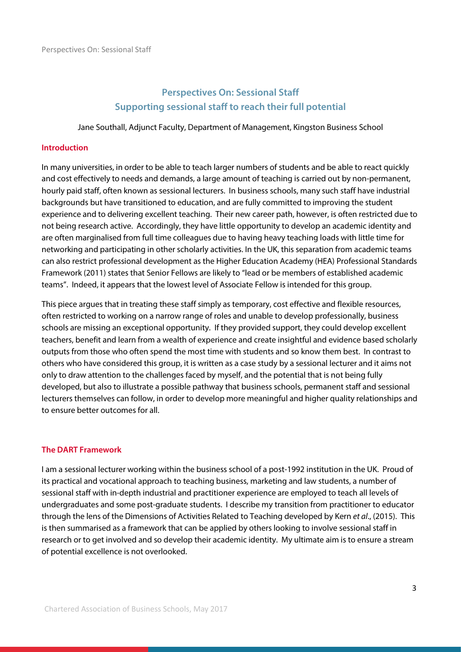## **Perspectives On: Sessional Staff Supporting sessional staff to reach their full potential**

Jane Southall, Adjunct Faculty, Department of Management, Kingston Business School

## **Introduction**

In many universities, in order to be able to teach larger numbers of students and be able to react quickly and cost effectively to needs and demands, a large amount of teaching is carried out by non-permanent, hourly paid staff, often known as sessional lecturers. In business schools, many such staff have industrial backgrounds but have transitioned to education, and are fully committed to improving the student experience and to delivering excellent teaching. Their new career path, however, is often restricted due to not being research active. Accordingly, they have little opportunity to develop an academic identity and are often marginalised from full time colleagues due to having heavy teaching loads with little time for networking and participating in other scholarly activities. In the UK, this separation from academic teams can also restrict professional development as the Higher Education Academy (HEA) Professional Standards Framework (2011) states that Senior Fellows are likely to "lead or be members of established academic teams". Indeed, it appears that the lowest level of Associate Fellow is intended for this group.

This piece argues that in treating these staff simply as temporary, cost effective and flexible resources, often restricted to working on a narrow range of roles and unable to develop professionally, business schools are missing an exceptional opportunity. If they provided support, they could develop excellent teachers, benefit and learn from a wealth of experience and create insightful and evidence based scholarly outputs from those who often spend the most time with students and so know them best. In contrast to others who have considered this group, it is written as a case study by a sessional lecturer and it aims not only to draw attention to the challenges faced by myself, and the potential that is not being fully developed, but also to illustrate a possible pathway that business schools, permanent staff and sessional lecturers themselves can follow, in order to develop more meaningful and higher quality relationships and to ensure better outcomes for all.

### **The DART Framework**

I am a sessional lecturer working within the business school of a post-1992 institution in the UK. Proud of its practical and vocational approach to teaching business, marketing and law students, a number of sessional staff with in-depth industrial and practitioner experience are employed to teach all levels of undergraduates and some post-graduate students. I describe my transition from practitioner to educator through the lens of the Dimensions of Activities Related to Teaching developed by Kern *et al*., (2015). This is then summarised as a framework that can be applied by others looking to involve sessional staff in research or to get involved and so develop their academic identity. My ultimate aim is to ensure a stream of potential excellence is not overlooked.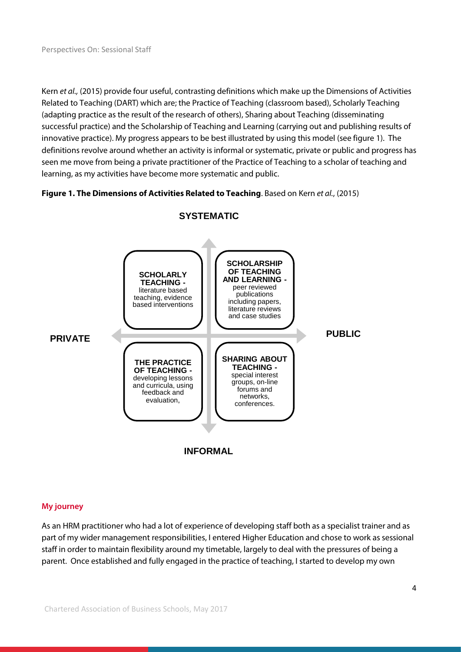Kern *et al.,* (2015) provide four useful, contrasting definitions which make up the Dimensions of Activities Related to Teaching (DART) which are; the Practice of Teaching (classroom based), Scholarly Teaching (adapting practice as the result of the research of others), Sharing about Teaching (disseminating successful practice) and the Scholarship of Teaching and Learning (carrying out and publishing results of innovative practice). My progress appears to be best illustrated by using this model (see figure 1). The definitions revolve around whether an activity is informal or systematic, private or public and progress has seen me move from being a private practitioner of the Practice of Teaching to a scholar of teaching and learning, as my activities have become more systematic and public.

## **Figure 1. The Dimensions of Activities Related to Teaching**. Based on Kern *et al.*, (2015)



## **SYSTEMATIC**

## **My journey**

As an HRM practitioner who had a lot of experience of developing staff both as a specialist trainer and as part of my wider management responsibilities, I entered Higher Education and chose to work as sessional staff in order to maintain flexibility around my timetable, largely to deal with the pressures of being a parent. Once established and fully engaged in the practice of teaching, I started to develop my own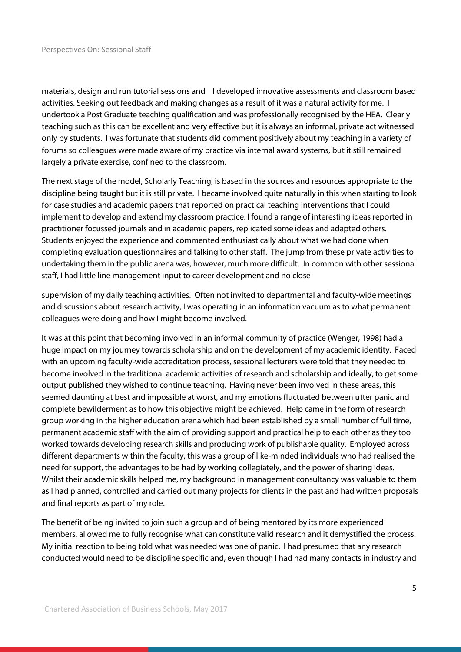materials, design and run tutorial sessions and I developed innovative assessments and classroom based activities. Seeking out feedback and making changes as a result of it was a natural activity for me. I undertook a Post Graduate teaching qualification and was professionally recognised by the HEA. Clearly teaching such as this can be excellent and very effective but it is always an informal, private act witnessed only by students. I was fortunate that students did comment positively about my teaching in a variety of forums so colleagues were made aware of my practice via internal award systems, but it still remained largely a private exercise, confined to the classroom.

The next stage of the model, Scholarly Teaching, is based in the sources and resources appropriate to the discipline being taught but it is still private. I became involved quite naturally in this when starting to look for case studies and academic papers that reported on practical teaching interventions that I could implement to develop and extend my classroom practice. I found a range of interesting ideas reported in practitioner focussed journals and in academic papers, replicated some ideas and adapted others. Students enjoyed the experience and commented enthusiastically about what we had done when completing evaluation questionnaires and talking to other staff. The jump from these private activities to undertaking them in the public arena was, however, much more difficult. In common with other sessional staff, I had little line management input to career development and no close

supervision of my daily teaching activities. Often not invited to departmental and faculty-wide meetings and discussions about research activity, I was operating in an information vacuum as to what permanent colleagues were doing and how I might become involved.

It was at this point that becoming involved in an informal community of practice (Wenger, 1998) had a huge impact on my journey towards scholarship and on the development of my academic identity. Faced with an upcoming faculty-wide accreditation process, sessional lecturers were told that they needed to become involved in the traditional academic activities of research and scholarship and ideally, to get some output published they wished to continue teaching. Having never been involved in these areas, this seemed daunting at best and impossible at worst, and my emotions fluctuated between utter panic and complete bewilderment as to how this objective might be achieved. Help came in the form of research group working in the higher education arena which had been established by a small number of full time, permanent academic staff with the aim of providing support and practical help to each other as they too worked towards developing research skills and producing work of publishable quality. Employed across different departments within the faculty, this was a group of like-minded individuals who had realised the need for support, the advantages to be had by working collegiately, and the power of sharing ideas. Whilst their academic skills helped me, my background in management consultancy was valuable to them as I had planned, controlled and carried out many projects for clients in the past and had written proposals and final reports as part of my role.

The benefit of being invited to join such a group and of being mentored by its more experienced members, allowed me to fully recognise what can constitute valid research and it demystified the process. My initial reaction to being told what was needed was one of panic. I had presumed that any research conducted would need to be discipline specific and, even though I had had many contacts in industry and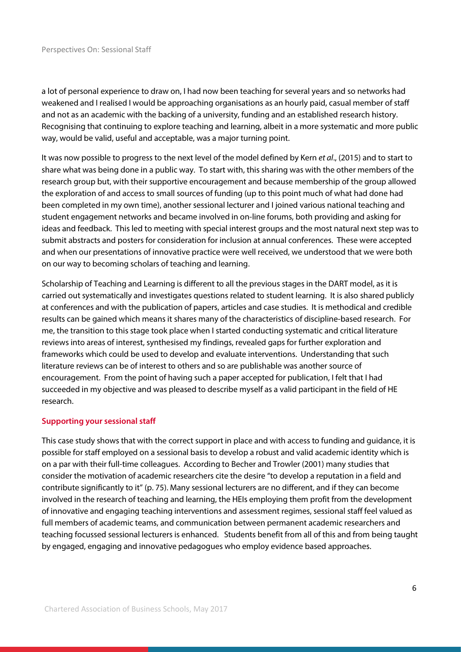a lot of personal experience to draw on, I had now been teaching for several years and so networks had weakened and I realised I would be approaching organisations as an hourly paid, casual member of staff and not as an academic with the backing of a university, funding and an established research history. Recognising that continuing to explore teaching and learning, albeit in a more systematic and more public way, would be valid, useful and acceptable, was a major turning point.

It was now possible to progress to the next level of the model defined by Kern *et al*., (2015) and to start to share what was being done in a public way. To start with, this sharing was with the other members of the research group but, with their supportive encouragement and because membership of the group allowed the exploration of and access to small sources of funding (up to this point much of what had done had been completed in my own time), another sessional lecturer and I joined various national teaching and student engagement networks and became involved in on-line forums, both providing and asking for ideas and feedback. This led to meeting with special interest groups and the most natural next step was to submit abstracts and posters for consideration for inclusion at annual conferences. These were accepted and when our presentations of innovative practice were well received, we understood that we were both on our way to becoming scholars of teaching and learning.

Scholarship of Teaching and Learning is different to all the previous stages in the DART model, as it is carried out systematically and investigates questions related to student learning. It is also shared publicly at conferences and with the publication of papers, articles and case studies. It is methodical and credible results can be gained which means it shares many of the characteristics of discipline-based research. For me, the transition to this stage took place when I started conducting systematic and critical literature reviews into areas of interest, synthesised my findings, revealed gaps for further exploration and frameworks which could be used to develop and evaluate interventions. Understanding that such literature reviews can be of interest to others and so are publishable was another source of encouragement. From the point of having such a paper accepted for publication, I felt that I had succeeded in my objective and was pleased to describe myself as a valid participant in the field of HE research.

## **Supporting your sessional staff**

This case study shows that with the correct support in place and with access to funding and guidance, it is possible for staff employed on a sessional basis to develop a robust and valid academic identity which is on a par with their full-time colleagues. According to Becher and Trowler (2001) many studies that consider the motivation of academic researchers cite the desire "to develop a reputation in a field and contribute significantly to it" (p. 75). Many sessional lecturers are no different, and if they can become involved in the research of teaching and learning, the HEIs employing them profit from the development of innovative and engaging teaching interventions and assessment regimes, sessional staff feel valued as full members of academic teams, and communication between permanent academic researchers and teaching focussed sessional lecturers is enhanced. Students benefit from all of this and from being taught by engaged, engaging and innovative pedagogues who employ evidence based approaches.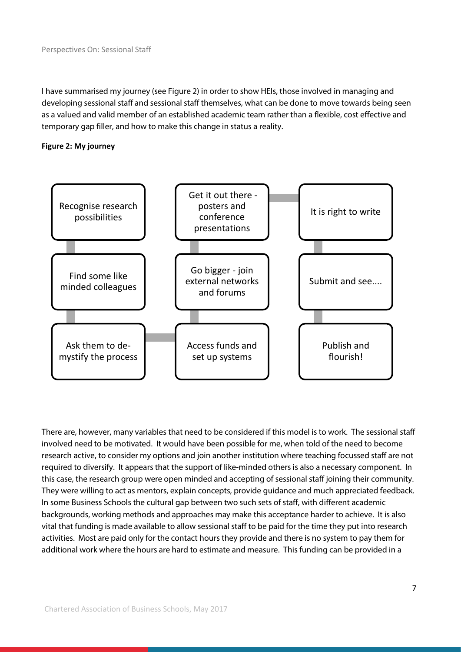I have summarised my journey (see Figure 2) in order to show HEIs, those involved in managing and developing sessional staff and sessional staff themselves, what can be done to move towards being seen as a valued and valid member of an established academic team rather than a flexible, cost effective and temporary gap filler, and how to make this change in status a reality.





There are, however, many variables that need to be considered if this model is to work. The sessional staff involved need to be motivated. It would have been possible for me, when told of the need to become research active, to consider my options and join another institution where teaching focussed staff are not required to diversify. It appears that the support of like-minded others is also a necessary component. In this case, the research group were open minded and accepting of sessional staff joining their community. They were willing to act as mentors, explain concepts, provide guidance and much appreciated feedback. In some Business Schools the cultural gap between two such sets of staff, with different academic backgrounds, working methods and approaches may make this acceptance harder to achieve. It is also vital that funding is made available to allow sessional staff to be paid for the time they put into research activities. Most are paid only for the contact hours they provide and there is no system to pay them for additional work where the hours are hard to estimate and measure. This funding can be provided in a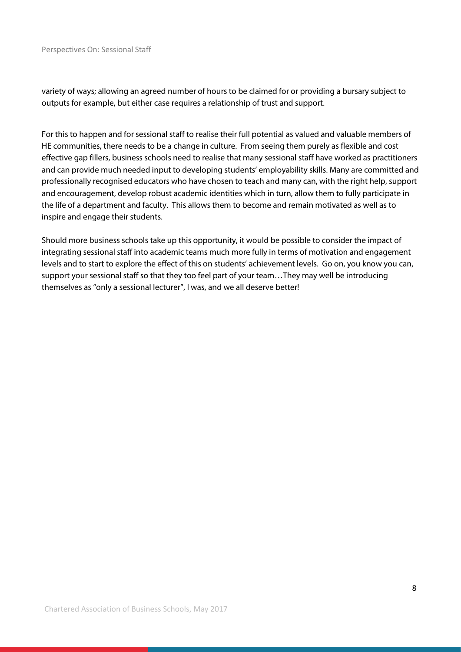#### Perspectives On: Sessional Staff

variety of ways; allowing an agreed number of hours to be claimed for or providing a bursary subject to outputs for example, but either case requires a relationship of trust and support.

For this to happen and for sessional staff to realise their full potential as valued and valuable members of HE communities, there needs to be a change in culture. From seeing them purely as flexible and cost effective gap fillers, business schools need to realise that many sessional staff have worked as practitioners and can provide much needed input to developing students' employability skills. Many are committed and professionally recognised educators who have chosen to teach and many can, with the right help, support and encouragement, develop robust academic identities which in turn, allow them to fully participate in the life of a department and faculty. This allows them to become and remain motivated as well as to inspire and engage their students.

Should more business schools take up this opportunity, it would be possible to consider the impact of integrating sessional staff into academic teams much more fully in terms of motivation and engagement levels and to start to explore the effect of this on students' achievement levels. Go on, you know you can, support your sessional staff so that they too feel part of your team…They may well be introducing themselves as "only a sessional lecturer", I was, and we all deserve better!